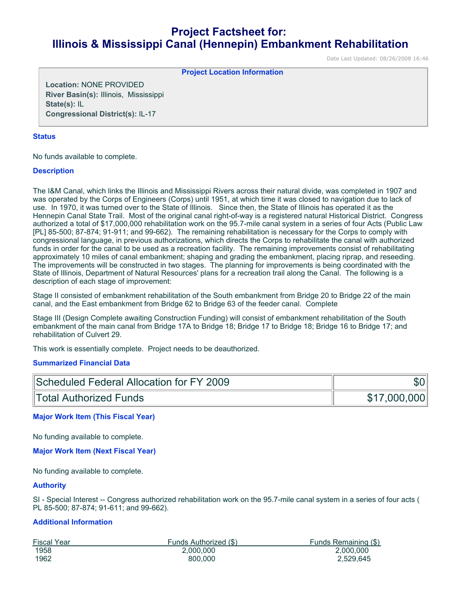# **Project Factsheet for: Illinois & Mississippi Canal (Hennepin) Embankment Rehabilitation**

Date Last Updated: 08/26/2008 16:46

**Project Location Information** 

**Location:** NONE PROVIDED **River Basin(s):** Illinois, Mississippi **State(s):** IL **Congressional District(s):** IL-17

#### **Status**

No funds available to complete.

### **Description**

The I&M Canal, which links the Illinois and Mississippi Rivers across their natural divide, was completed in 1907 and was operated by the Corps of Engineers (Corps) until 1951, at which time it was closed to navigation due to lack of use. In 1970, it was turned over to the State of Illinois. Since then, the State of Illinois has operated it as the Hennepin Canal State Trail. Most of the original canal right-of-way is a registered natural Historical District. Congress authorized a total of \$17,000,000 rehabilitation work on the 95.7-mile canal system in a series of four Acts (Public Law [PL] 85-500; 87-874; 91-911; and 99-662). The remaining rehabilitation is necessary for the Corps to comply with congressional language, in previous authorizations, which directs the Corps to rehabilitate the canal with authorized funds in order for the canal to be used as a recreation facility. The remaining improvements consist of rehabilitating approximately 10 miles of canal embankment; shaping and grading the embankment, placing riprap, and reseeding. The improvements will be constructed in two stages. The planning for improvements is being coordinated with the State of Illinois, Department of Natural Resources' plans for a recreation trail along the Canal. The following is a description of each stage of improvement:

Stage II consisted of embankment rehabilitation of the South embankment from Bridge 20 to Bridge 22 of the main canal, and the East embankment from Bridge 62 to Bridge 63 of the feeder canal. Complete

Stage III (Design Complete awaiting Construction Funding) will consist of embankment rehabilitation of the South embankment of the main canal from Bridge 17A to Bridge 18; Bridge 17 to Bridge 18; Bridge 16 to Bridge 17; and rehabilitation of Culvert 29.

This work is essentially complete. Project needs to be deauthorized.

#### **Summarized Financial Data**

| Scheduled Federal Allocation for FY 2009 |              |
|------------------------------------------|--------------|
| Total Authorized Funds                   | \$17,000,000 |

#### **Major Work Item (This Fiscal Year)**

No funding available to complete.

**Major Work Item (Next Fiscal Year)**

No funding available to complete.

#### **Authority**

SI - Special Interest -- Congress authorized rehabilitation work on the 95.7-mile canal system in a series of four acts ( PL 85-500; 87-874; 91-611; and 99-662).

#### **Additional Information**

| <b>Fiscal Year</b> | Funds Authorized (\$) | Funds Remaining (\$) |
|--------------------|-----------------------|----------------------|
| 1958               | 2.000.000             | 2,000,000            |
| 1962               | 800,000               | 2,529,645            |